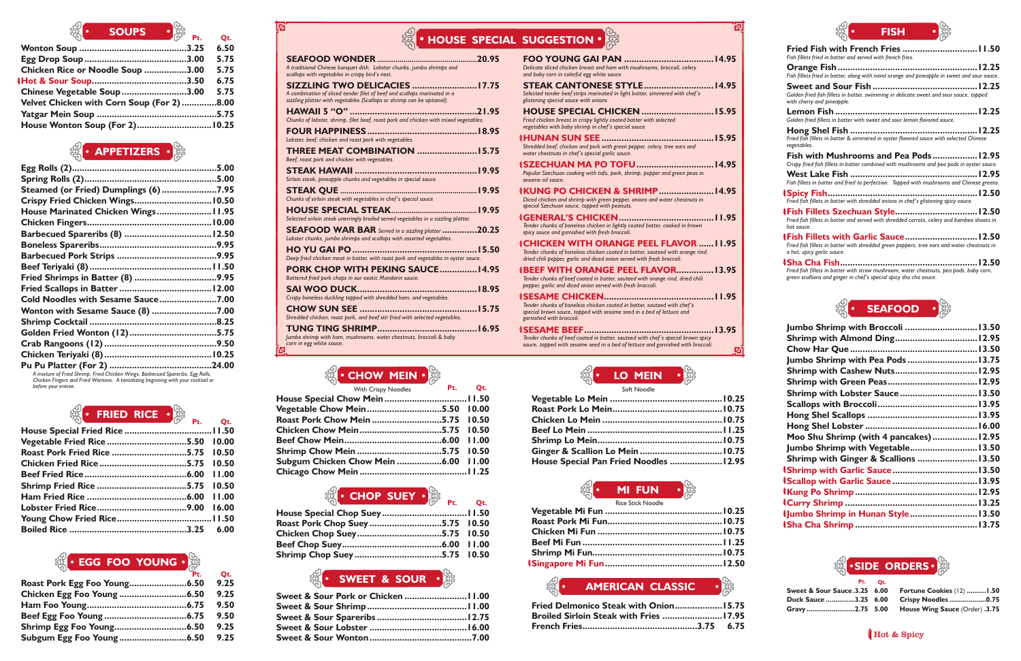**Sha Cha Fish.......................................................12.50** *Fried fish fillets in batter with straw mushroom, water chestnuts, pea pods, baby corn, green scallions and ginger in chef's special spicy sha cha sauce.*

| Jumbo Shrimp with Broccoli  13.50       |  |
|-----------------------------------------|--|
|                                         |  |
|                                         |  |
| Jumbo Shrimp with Pea Pods  13.75       |  |
| Shrimp with Cashew Nuts 12.95           |  |
|                                         |  |
| Shrimp with Lobster Sauce 13.50         |  |
|                                         |  |
|                                         |  |
|                                         |  |
| Moo Shu Shrimp (with 4 pancakes)  12.95 |  |
| Jumbo Shrimp with Vegetable 13.50       |  |
| Shrimp with Ginger & Scallions 13.50    |  |
|                                         |  |
|                                         |  |
|                                         |  |
|                                         |  |
| IJumbo Shrimp in Hunan Style 13.50      |  |
|                                         |  |

| $\mathcal{O}(\mathbf{C})$ and $\mathbf{C}(\mathbf{C})$ and $\mathbf{C}(\mathbf{C})$ and $\mathbf{C}(\mathbf{C})$ and $\mathbf{C}(\mathbf{C})$ and $\mathbf{C}(\mathbf{C})$ and $\mathbf{C}(\mathbf{C})$ and $\mathbf{C}(\mathbf{C})$ and $\mathbf{C}(\mathbf{C})$ and $\mathbf{C}(\mathbf{C})$ and $\mathbf{C}(\mathbf{C})$ and $\mathbf{C}(\mathbf{C$ | Ot.  |
|--------------------------------------------------------------------------------------------------------------------------------------------------------------------------------------------------------------------------------------------------------------------------------------------------------------------------------------------------------|------|
|                                                                                                                                                                                                                                                                                                                                                        | 6.50 |
|                                                                                                                                                                                                                                                                                                                                                        | 5.75 |
| Chicken Rice or Noodle Soup 3.00                                                                                                                                                                                                                                                                                                                       | 5.75 |
|                                                                                                                                                                                                                                                                                                                                                        | 6.75 |
| Chinese Vegetable Soup 3.00                                                                                                                                                                                                                                                                                                                            | 5.75 |
| Velvet Chicken with Corn Soup (For 2)8.00                                                                                                                                                                                                                                                                                                              |      |
|                                                                                                                                                                                                                                                                                                                                                        |      |
| House Wonton Soup (For 2) 10.25                                                                                                                                                                                                                                                                                                                        |      |
|                                                                                                                                                                                                                                                                                                                                                        |      |

### **Pt.** <sup>ू (</sup>CHOP SUEY •े

| <b>Steamed (or Fried) Dumplings (6)7.95</b> |  |
|---------------------------------------------|--|
| Crispy Fried Chicken Wings 10.50            |  |
| House Marinated Chicken Wings 11.95         |  |
|                                             |  |
|                                             |  |
|                                             |  |
|                                             |  |
|                                             |  |
|                                             |  |
|                                             |  |
| Cold Noodles with Sesame Sauce7.00          |  |
| Wonton with Sesame Sauce (8) 7.00           |  |
|                                             |  |
|                                             |  |
|                                             |  |
|                                             |  |
|                                             |  |

**Pu Pu Platter (For 2) .........................................24.00** *A mixture of Fried Shrimp, Fried Chicken Wings, Barbecued Spareribs, Egg Rolls, Chicken Fingers and Fried Wontons. A tantalizing beginning with your cocktail or before your entree.*

## **FRIED RICE**  $\cdot$

| <b>SOUPS</b>                                                    |                                                                                                                                                                                                                    | <b>• HOUSE SPECIAL SUGGESTION • SEA</b>                                                                                                                                                                                                                                 | <b>FISH</b>                                                                                                                                                                                     |
|-----------------------------------------------------------------|--------------------------------------------------------------------------------------------------------------------------------------------------------------------------------------------------------------------|-------------------------------------------------------------------------------------------------------------------------------------------------------------------------------------------------------------------------------------------------------------------------|-------------------------------------------------------------------------------------------------------------------------------------------------------------------------------------------------|
| 6.50<br>3.25<br>5.75<br>3.00<br>5.75<br>lle Soup 3.00           | .20.95<br>A traditional Chinese banquet dish. Lobster chunks, jumbo shrimps and<br>scallops with vegetables in crispy bird's nest.                                                                                 | Delicate sliced chicken breast and ham with mushrooms, broccoli, celery<br>and baby corn in colorful egg white sauce.                                                                                                                                                   | Fish fillets fried in batter and served with french fries.<br>Fish fillets fried in batter, along with navel orange and pineapple in sweet and sour sauce.                                      |
| 6.75<br>3.50<br>5.75<br>up 3.00<br><b>Corn Soup (For 2)8.00</b> | <b>SIZZLING TWO DELICACIES 17.75</b><br>A combination of sliced tender filet of beef and scallops marinated in a<br>sizzling platter with vegetables (Scallops or shrimp can be optional).                         | Selected tender beef strips marinated in light batter, simmered with chef's<br>glistening special sauce with onions                                                                                                                                                     | Golden fried fish fillets in batter, swimming in delicate sweet and sour sauce, topped<br>with cherry and pineapple.                                                                            |
|                                                                 | Chunks of lobster, shrimp, filet beef, roast pork and chicken with mixed vegetables.<br>Lobster, beef, chicken and roast pork with vegetables.                                                                     | Fried chicken breast in crispy lightly coated batter with selected<br>vegetables with baby shrimp in chef's special sauce                                                                                                                                               | Golden fried fillets in batter with sweet and sour lemon flavored sauce.<br>Fried fish fillets in batter & simmered in oyster flavored sauce with selected Chinese<br>vegetables                |
| <b>PETIZERS</b> • 28                                            | THREE MEAT COMBINATION 15.75<br>Beef, roast pork and chicken with vegetables.<br>Sirloin steak, pineapple chunks and vegetables in special sauce.                                                                  | Shredded beef, chicken and pork with green pepper, celery, tree ears and<br>water chestnuts in chef's special garlic sauce.<br>Popular Szechuan cooking with tofu, pork, shrimp, pepper and green peas in<br>sesame oil sauce.                                          | Crispy fried fish fillets in batter combined with mushrooms and pea pods in oyster sauce.<br>Fish fillets in batter and fried to perfection. Topped with mushrooms and Chinese greens.          |
| umplings (6) 7.95<br>Wings 10.50<br>cken Wings  11.95           | Chunks of sirloin steak with vegetables in chef's special sauce<br>Selected sirloin steak unerringly broiled served vegetables in a sizzling platter.<br><b>SEAFOOD WAR BAR</b> Served in a sizzling platter 20.25 | <b>IKUNG PO CHICKEN &amp; SHRIMP 14.95</b><br>Diced chicken and shrimp with green pepper, onions and water chestnuts in<br>special Szechuan sauce, topped with peanuts.<br>Tender chunks of boneless chicken in lightly coated batter, cooked in brown                  | Fried fish fillets in batter with shredded onions in chef's glistening spicy sauce.<br>Fried fish fillets in batter and served with shredded carrots, celery and bamboo shoots in<br>hot sauce. |
|                                                                 | Lobster chunks, jumbo shrimps and scallops with assorted vegetables.<br>Deep fried chicken meat in batter, with roast pork and vegetables in oyster sauce.                                                         | spicy sauce and garnished with fresh broccoli.<br><b><i><u>CHICKEN WITH ORANGE PEEL FLAVOR  11.95</u></i></b><br>Tender chunks of boneless chicken coated in batter, sauteed with orange rind,<br>dried chili pepper, garlic and diced onion served with fresh broccoli | <b>Thish Fillets with Garlic Sauce 12.50</b><br>Fried fish fillets in batter with shredded green peppers, tree ears and water chestnuts in<br>a hot, spicy garlic sauce.<br>12E<br>ICLA CLA CAL |

| House Special Chow Mein  11.50  |  |
|---------------------------------|--|
| Vegetable Chow Mein5.50 10.00   |  |
| Roast Pork Chow Mein 5.75 10.50 |  |
|                                 |  |
|                                 |  |
|                                 |  |
|                                 |  |
|                                 |  |
|                                 |  |

| Roast Pork Chop Suey 5.75 10.50 |  |
|---------------------------------|--|
|                                 |  |
|                                 |  |
|                                 |  |

| $\mathbb{Q}$ by $\mathbb{R}$ and $\mathbb{Q}$ by $\mathbb{R}$ by $\mathbb{R}$ by $\mathbb{R}$ by $\mathbb{R}$ by $\mathbb{R}$ by $\mathbb{R}$ by $\mathbb{R}$ by $\mathbb{R}$ by $\mathbb{R}$ by $\mathbb{R}$ by $\mathbb{R}$ by $\mathbb{R}$ by $\mathbb{R}$ by $\mathbb{R}$ by $\mathbb{R}$ by $\mathbb$ |  |  |
|------------------------------------------------------------------------------------------------------------------------------------------------------------------------------------------------------------------------------------------------------------------------------------------------------------|--|--|
|                                                                                                                                                                                                                                                                                                            |  |  |
| Vegetable Fried Rice 5.50 10.00                                                                                                                                                                                                                                                                            |  |  |
| Roast Pork Fried Rice 5.75 10.50                                                                                                                                                                                                                                                                           |  |  |
|                                                                                                                                                                                                                                                                                                            |  |  |
|                                                                                                                                                                                                                                                                                                            |  |  |
|                                                                                                                                                                                                                                                                                                            |  |  |
|                                                                                                                                                                                                                                                                                                            |  |  |
|                                                                                                                                                                                                                                                                                                            |  |  |
|                                                                                                                                                                                                                                                                                                            |  |  |
|                                                                                                                                                                                                                                                                                                            |  |  |
|                                                                                                                                                                                                                                                                                                            |  |  |

# **EGG FOO YOUNG**

| <u>Soft Noodle</u>                     |  |
|----------------------------------------|--|
|                                        |  |
|                                        |  |
|                                        |  |
|                                        |  |
|                                        |  |
|                                        |  |
| House Special Pan Fried Noodles  12.95 |  |
|                                        |  |

## **AMERICAN CLASSIC**

| $\overline{\phantom{a}}$ Pt. | Ot.  |
|------------------------------|------|
| Roast Pork Egg Foo Young6.50 | 9.25 |
|                              | 9.25 |
|                              | 9.50 |
|                              | 9.50 |
|                              | 9.25 |
| Subgum Egg Foo Young6.50     | 9.25 |

**Pt.**



 $\mathbf{Q}$ 

**Qt.**

**Qt.**



**APPETIZERS**





## **HOUSE SPECIAL SUGGESTION**

| %  HUUSE SFECIA                                                                                                                                                                             |  |
|---------------------------------------------------------------------------------------------------------------------------------------------------------------------------------------------|--|
| A traditional Chinese banguet dish. Lobster chunks, jumbo shrimps and<br>scallops with vegetables in crispy bird's nest.                                                                    |  |
| <b>SIZZLING TWO DELICACIES  17.75</b><br>A combination of sliced tender filet of beef and scallops marinated in a<br>sizzling platter with vegetables (Scallops or shrimp can be optional). |  |
| Chunks of lobster, shrimp, filet beef, roast pork and chicken with mixed vegetables.                                                                                                        |  |
| Lobster, beef, chicken and roast pork with vegetables.                                                                                                                                      |  |
| <b>THREE MEAT COMBINATION  15.75</b><br>Beef, roast pork and chicken with vegetables.                                                                                                       |  |
| Sirloin steak, pineapple chunks and vegetables in special sauce.                                                                                                                            |  |
| Chunks of sirloin steak with vegetables in chef's special sauce                                                                                                                             |  |
| Selected sirloin steak unerringly broiled served vegetables in a sizzling platter.                                                                                                          |  |
| $SEAFOOD$ WAR BAR Served in a sizzling platter 20.25<br>Lobster chunks, jumbo shrimps and scallops with assorted vegetables.                                                                |  |
| Deep fried chicken meat in batter, with roast pork and vegetables in oyster sauce.                                                                                                          |  |
| PORK CHOP WITH PEKING SAUCE14.95<br>Battered fried pork chops in our exotic Mandarin sauce.                                                                                                 |  |
| Crispy boneless duckling topped with shredded ham, and vegetables.                                                                                                                          |  |
| Shredded chicken, roast pork, and beef stir fried with selected vegetables.                                                                                                                 |  |
|                                                                                                                                                                                             |  |

*Jumbo shrimp with ham, mushrooms, water chestnuts, broccoli & baby corn in egg white sauce.*



## **MI FUN** Rice Stick Noodle

| Delicate sliced chicken breast and ham with mushrooms, broccoli, celery<br>and baby corn in colorful egg white sauce.                                                                                     |   |
|-----------------------------------------------------------------------------------------------------------------------------------------------------------------------------------------------------------|---|
| Selected tender beef strips marinated in light batter, simmered with chef's<br>glistening special sauce with onions                                                                                       |   |
| Fried chicken breast in crispy lightly coated batter with selected<br>vegetables with baby shrimp in chef's special sauce                                                                                 |   |
| Shredded beef, chicken and pork with green pepper, celery, tree ears and<br>water chestnuts in chef's special garlic sauce.                                                                               |   |
| <b>(SZECHUAN MA PO TOFU 14.95</b><br>Popular Szechuan cooking with tofu, pork, shrimp, pepper and green peas in<br>sesame oil sauce.                                                                      |   |
| <b>IKUNG PO CHICKEN &amp; SHRIMP14.95</b><br>Diced chicken and shrimp with green pepper, onions and water chestnuts in<br>special Szechuan sauce, topped with peanuts.                                    |   |
| Tender chunks of boneless chicken in lightly coated batter, cooked in brown<br>spicy sauce and garnished with fresh broccoli.                                                                             |   |
| <b>ICHICKEN WITH ORANGE PEEL FLAVOR  11.95</b><br>Tender chunks of boneless chicken coated in batter, sauteed with orange rind,<br>dried chili pepper, garlic and diced onion served with fresh broccoli. |   |
| (BEEF WITH ORANGE PEEL FLAVOR 13.95<br>Tender chunks of beef coated in batter, sauteed with orange rind, dried chili<br>bepper, garlic and diced onion served with fresh broccoli.                        |   |
| <b>ISESAME CHICKEN</b><br>Tender chunks of boneless chicken coated in batter, sauteed with chef's<br>special brown sauce, topped with sesame seed in a bed of lettuce and<br>garnished with broccoli.     |   |
| <b>ISESAME BEEF</b><br>Tender chunks of beef coated in batter, sauteed with chef's special brown spicy<br>sauce, topped with sesame seed in a bed of lettuce and garnished with broccoli.                 | B |

## **SWEET & SOUR**

တ္လိတ

| Fried Delmonico Steak with Onion 15.75        |  |
|-----------------------------------------------|--|
| <b>Broiled Sirloin Steak with Fries 17.95</b> |  |
|                                               |  |

|                              | Pt. Ot. |                                                      |
|------------------------------|---------|------------------------------------------------------|
| Sweet & Sour Sauce.3.25 6.00 |         | <b>Fortune Cookies (12) 1.50</b>                     |
|                              |         | Duck Sauce 3.25 6.00 Crispy Noodles 0.75             |
|                              |         | <b>Gravy2.75 5.00 House Wing Sauce (Order) .3.75</b> |

## Hot & Spicy